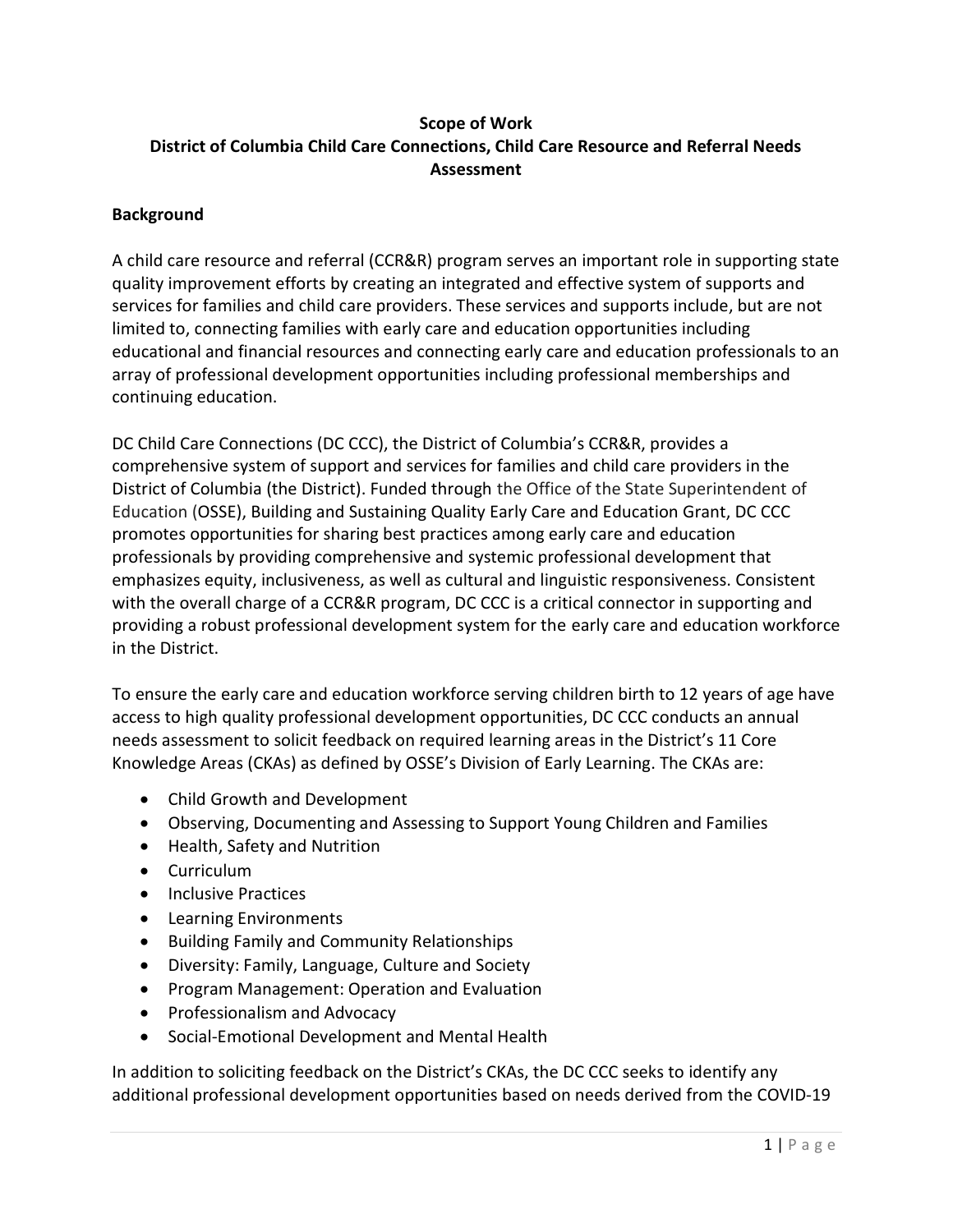## Scope of Work District of Columbia Child Care Connections, Child Care Resource and Referral Needs Assessment

### **Background**

A child care resource and referral (CCR&R) program serves an important role in supporting state quality improvement efforts by creating an integrated and effective system of supports and services for families and child care providers. These services and supports include, but are not limited to, connecting families with early care and education opportunities including educational and financial resources and connecting early care and education professionals to an array of professional development opportunities including professional memberships and continuing education.

DC Child Care Connections (DC CCC), the District of Columbia's CCR&R, provides a comprehensive system of support and services for families and child care providers in the District of Columbia (the District). Funded through the Office of the State Superintendent of Education (OSSE), Building and Sustaining Quality Early Care and Education Grant, DC CCC promotes opportunities for sharing best practices among early care and education professionals by providing comprehensive and systemic professional development that emphasizes equity, inclusiveness, as well as cultural and linguistic responsiveness. Consistent with the overall charge of a CCR&R program, DC CCC is a critical connector in supporting and providing a robust professional development system for the early care and education workforce in the District.

To ensure the early care and education workforce serving children birth to 12 years of age have access to high quality professional development opportunities, DC CCC conducts an annual needs assessment to solicit feedback on required learning areas in the District's 11 Core Knowledge Areas (CKAs) as defined by OSSE's Division of Early Learning. The CKAs are:

- Child Growth and Development
- Observing, Documenting and Assessing to Support Young Children and Families
- Health, Safety and Nutrition
- Curriculum
- Inclusive Practices
- Learning Environments
- Building Family and Community Relationships
- Diversity: Family, Language, Culture and Society
- Program Management: Operation and Evaluation
- Professionalism and Advocacy
- Social-Emotional Development and Mental Health

In addition to soliciting feedback on the District's CKAs, the DC CCC seeks to identify any additional professional development opportunities based on needs derived from the COVID-19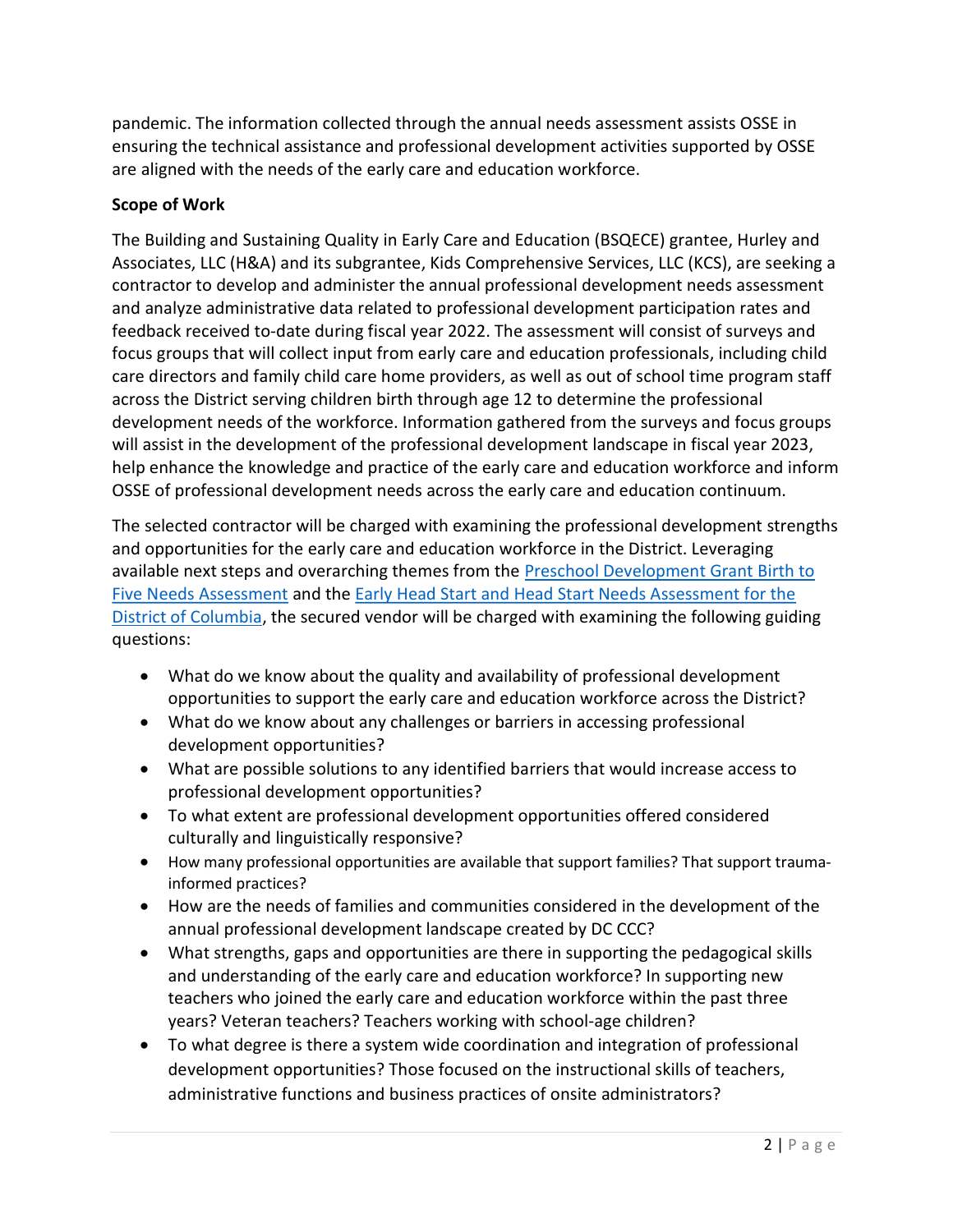pandemic. The information collected through the annual needs assessment assists OSSE in ensuring the technical assistance and professional development activities supported by OSSE are aligned with the needs of the early care and education workforce.

## Scope of Work

The Building and Sustaining Quality in Early Care and Education (BSQECE) grantee, Hurley and Associates, LLC (H&A) and its subgrantee, Kids Comprehensive Services, LLC (KCS), are seeking a contractor to develop and administer the annual professional development needs assessment and analyze administrative data related to professional development participation rates and feedback received to-date during fiscal year 2022. The assessment will consist of surveys and focus groups that will collect input from early care and education professionals, including child care directors and family child care home providers, as well as out of school time program staff across the District serving children birth through age 12 to determine the professional development needs of the workforce. Information gathered from the surveys and focus groups will assist in the development of the professional development landscape in fiscal year 2023, help enhance the knowledge and practice of the early care and education workforce and inform OSSE of professional development needs across the early care and education continuum.

The selected contractor will be charged with examining the professional development strengths and opportunities for the early care and education workforce in the District. Leveraging available next steps and overarching themes from the Preschool Development Grant Birth to Five Needs Assessment and the Early Head Start and Head Start Needs Assessment for the District of Columbia, the secured vendor will be charged with examining the following guiding questions:

- What do we know about the quality and availability of professional development opportunities to support the early care and education workforce across the District?
- What do we know about any challenges or barriers in accessing professional development opportunities?
- What are possible solutions to any identified barriers that would increase access to professional development opportunities?
- To what extent are professional development opportunities offered considered culturally and linguistically responsive?
- How many professional opportunities are available that support families? That support traumainformed practices?
- How are the needs of families and communities considered in the development of the annual professional development landscape created by DC CCC?
- What strengths, gaps and opportunities are there in supporting the pedagogical skills and understanding of the early care and education workforce? In supporting new teachers who joined the early care and education workforce within the past three years? Veteran teachers? Teachers working with school-age children?
- To what degree is there a system wide coordination and integration of professional development opportunities? Those focused on the instructional skills of teachers, administrative functions and business practices of onsite administrators?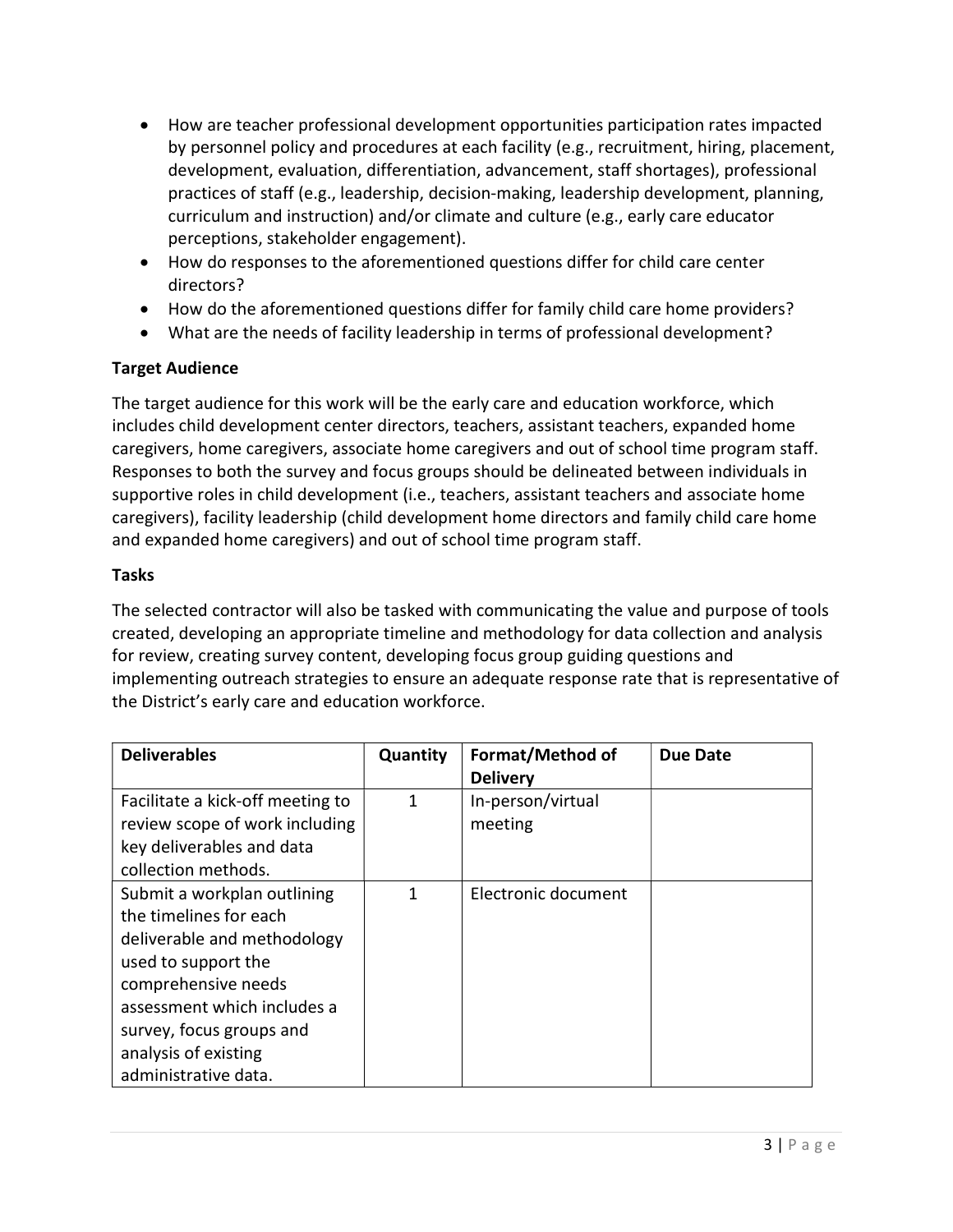- How are teacher professional development opportunities participation rates impacted by personnel policy and procedures at each facility (e.g., recruitment, hiring, placement, development, evaluation, differentiation, advancement, staff shortages), professional practices of staff (e.g., leadership, decision-making, leadership development, planning, curriculum and instruction) and/or climate and culture (e.g., early care educator perceptions, stakeholder engagement).
- How do responses to the aforementioned questions differ for child care center directors?
- How do the aforementioned questions differ for family child care home providers?
- What are the needs of facility leadership in terms of professional development?

# Target Audience

The target audience for this work will be the early care and education workforce, which includes child development center directors, teachers, assistant teachers, expanded home caregivers, home caregivers, associate home caregivers and out of school time program staff. Responses to both the survey and focus groups should be delineated between individuals in supportive roles in child development (i.e., teachers, assistant teachers and associate home caregivers), facility leadership (child development home directors and family child care home and expanded home caregivers) and out of school time program staff.

## Tasks

The selected contractor will also be tasked with communicating the value and purpose of tools created, developing an appropriate timeline and methodology for data collection and analysis for review, creating survey content, developing focus group guiding questions and implementing outreach strategies to ensure an adequate response rate that is representative of the District's early care and education workforce.

| <b>Deliverables</b>              | Quantity | Format/Method of    | Due Date |
|----------------------------------|----------|---------------------|----------|
|                                  |          | <b>Delivery</b>     |          |
| Facilitate a kick-off meeting to | 1        | In-person/virtual   |          |
| review scope of work including   |          | meeting             |          |
| key deliverables and data        |          |                     |          |
| collection methods.              |          |                     |          |
| Submit a workplan outlining      | 1        | Electronic document |          |
| the timelines for each           |          |                     |          |
| deliverable and methodology      |          |                     |          |
| used to support the              |          |                     |          |
| comprehensive needs              |          |                     |          |
| assessment which includes a      |          |                     |          |
| survey, focus groups and         |          |                     |          |
| analysis of existing             |          |                     |          |
| administrative data.             |          |                     |          |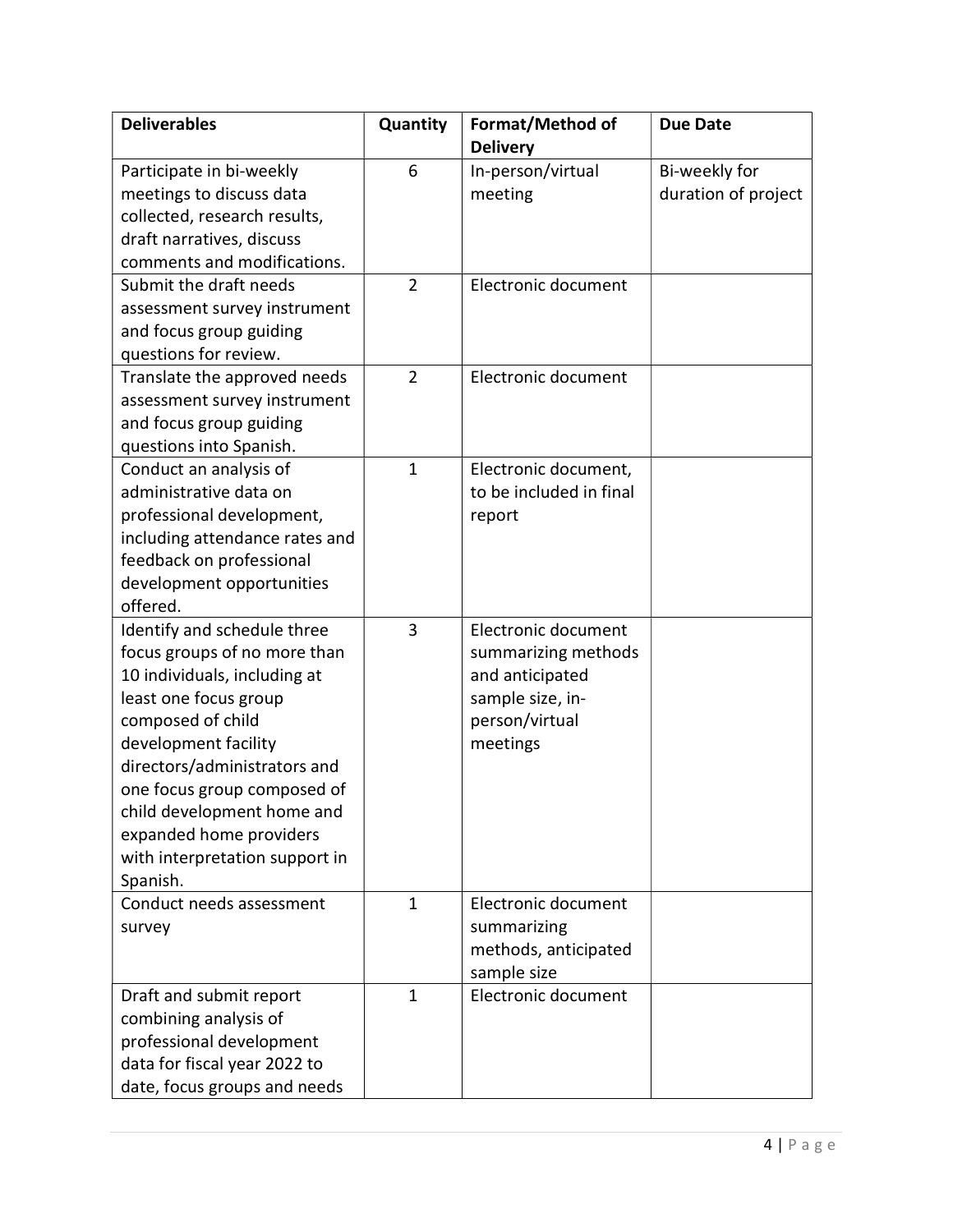| <b>Deliverables</b>            | Quantity       | Format/Method of        | <b>Due Date</b>     |
|--------------------------------|----------------|-------------------------|---------------------|
|                                |                | <b>Delivery</b>         |                     |
| Participate in bi-weekly       | 6              | In-person/virtual       | Bi-weekly for       |
| meetings to discuss data       |                | meeting                 | duration of project |
| collected, research results,   |                |                         |                     |
| draft narratives, discuss      |                |                         |                     |
| comments and modifications.    |                |                         |                     |
| Submit the draft needs         | $\overline{2}$ | Electronic document     |                     |
| assessment survey instrument   |                |                         |                     |
| and focus group guiding        |                |                         |                     |
| questions for review.          |                |                         |                     |
| Translate the approved needs   | $\overline{2}$ | Electronic document     |                     |
| assessment survey instrument   |                |                         |                     |
| and focus group guiding        |                |                         |                     |
| questions into Spanish.        |                |                         |                     |
| Conduct an analysis of         | $\mathbf{1}$   | Electronic document,    |                     |
| administrative data on         |                | to be included in final |                     |
| professional development,      |                | report                  |                     |
| including attendance rates and |                |                         |                     |
| feedback on professional       |                |                         |                     |
| development opportunities      |                |                         |                     |
| offered.                       |                |                         |                     |
| Identify and schedule three    | 3              | Electronic document     |                     |
| focus groups of no more than   |                | summarizing methods     |                     |
| 10 individuals, including at   |                | and anticipated         |                     |
| least one focus group          |                | sample size, in-        |                     |
| composed of child              |                | person/virtual          |                     |
| development facility           |                | meetings                |                     |
| directors/administrators and   |                |                         |                     |
| one focus group composed of    |                |                         |                     |
| child development home and     |                |                         |                     |
| expanded home providers        |                |                         |                     |
| with interpretation support in |                |                         |                     |
| Spanish.                       |                |                         |                     |
| Conduct needs assessment       | $\mathbf{1}$   | Electronic document     |                     |
| survey                         |                | summarizing             |                     |
|                                |                | methods, anticipated    |                     |
|                                |                | sample size             |                     |
| Draft and submit report        | $\mathbf{1}$   | Electronic document     |                     |
| combining analysis of          |                |                         |                     |
| professional development       |                |                         |                     |
| data for fiscal year 2022 to   |                |                         |                     |
| date, focus groups and needs   |                |                         |                     |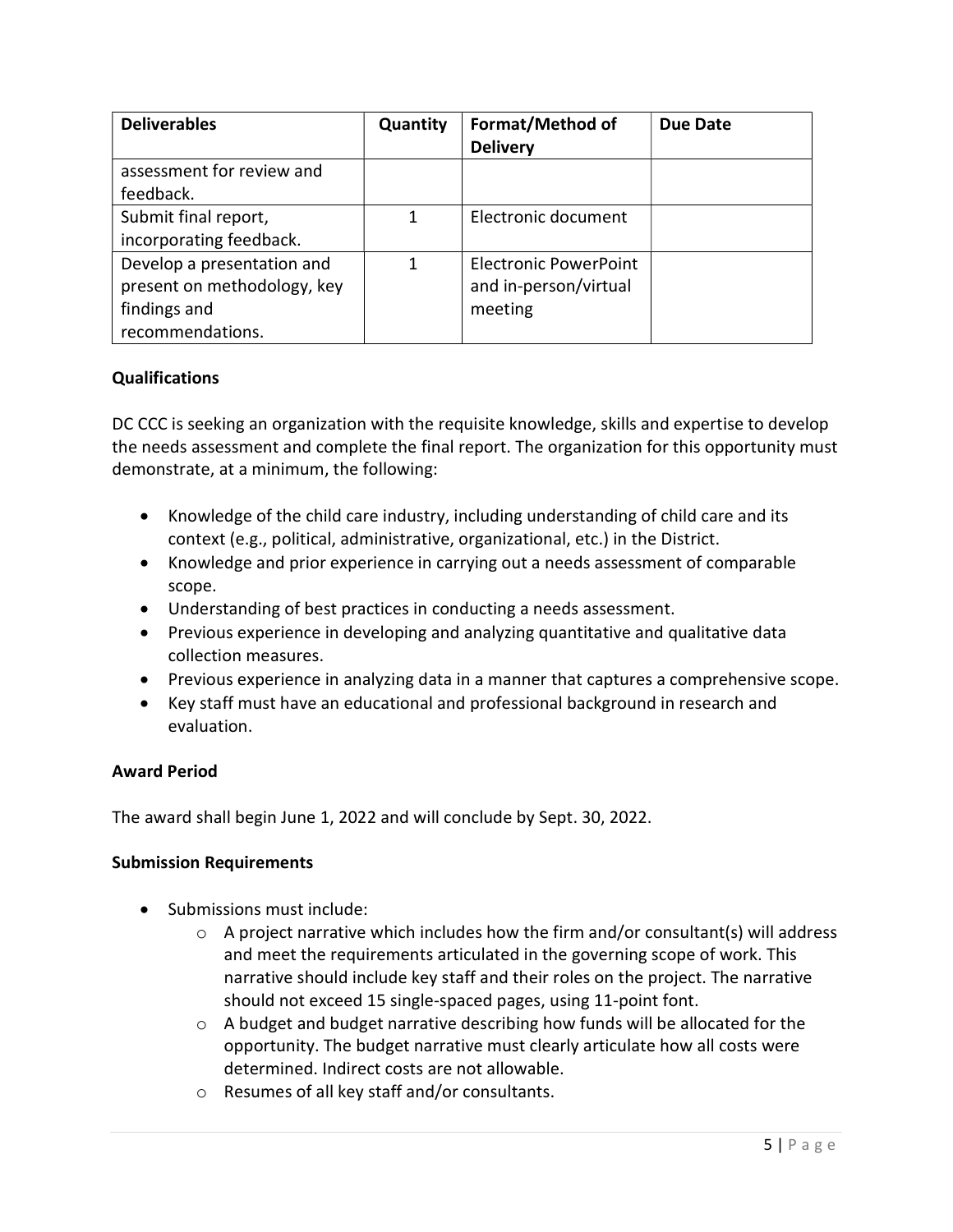| <b>Deliverables</b>                                                                           | Quantity | Format/Method of<br><b>Delivery</b>                              | Due Date |
|-----------------------------------------------------------------------------------------------|----------|------------------------------------------------------------------|----------|
| assessment for review and<br>feedback.                                                        |          |                                                                  |          |
| Submit final report,<br>incorporating feedback.                                               | 1        | Electronic document                                              |          |
| Develop a presentation and<br>present on methodology, key<br>findings and<br>recommendations. | 1        | <b>Electronic PowerPoint</b><br>and in-person/virtual<br>meeting |          |

#### Qualifications

DC CCC is seeking an organization with the requisite knowledge, skills and expertise to develop the needs assessment and complete the final report. The organization for this opportunity must demonstrate, at a minimum, the following:

- Knowledge of the child care industry, including understanding of child care and its context (e.g., political, administrative, organizational, etc.) in the District.
- Knowledge and prior experience in carrying out a needs assessment of comparable scope.
- Understanding of best practices in conducting a needs assessment.
- Previous experience in developing and analyzing quantitative and qualitative data collection measures.
- Previous experience in analyzing data in a manner that captures a comprehensive scope.
- Key staff must have an educational and professional background in research and evaluation.

#### Award Period

The award shall begin June 1, 2022 and will conclude by Sept. 30, 2022.

#### Submission Requirements

- Submissions must include:
	- $\circ$  A project narrative which includes how the firm and/or consultant(s) will address and meet the requirements articulated in the governing scope of work. This narrative should include key staff and their roles on the project. The narrative should not exceed 15 single-spaced pages, using 11-point font.
	- $\circ$  A budget and budget narrative describing how funds will be allocated for the opportunity. The budget narrative must clearly articulate how all costs were determined. Indirect costs are not allowable.
	- o Resumes of all key staff and/or consultants.